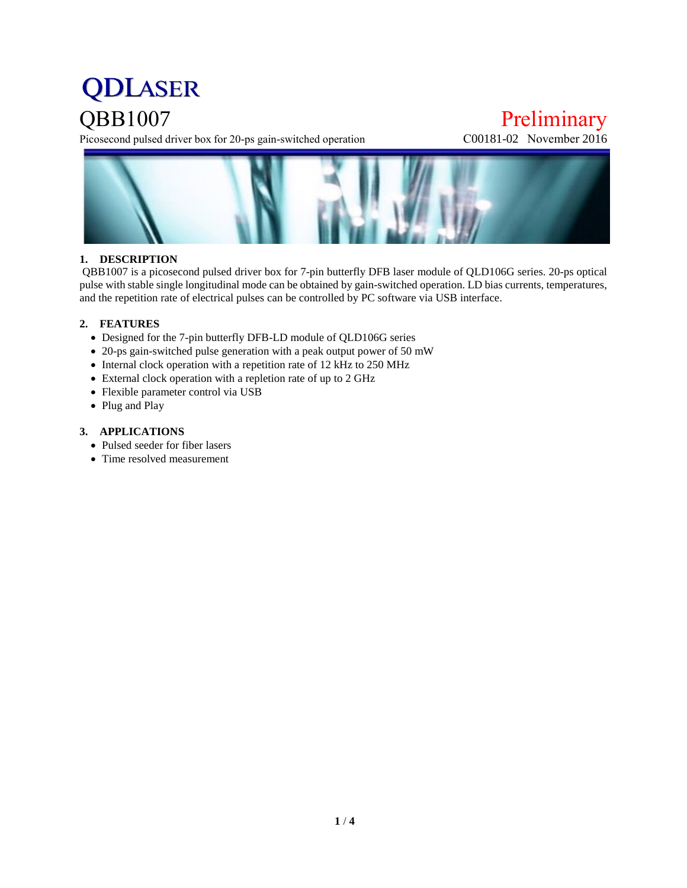# **QDLASER**

**QBB1007**<br>Picosecond pulsed driver box for 20-ps gain-switched operation<br>C00181-02 November 2016 Picosecond pulsed driver box for 20-ps gain-switched operation



#### **1. DESCRIPTION**

QBB1007 is a picosecond pulsed driver box for 7-pin butterfly DFB laser module of QLD106G series. 20-ps optical pulse with stable single longitudinal mode can be obtained by gain-switched operation. LD bias currents, temperatures, and the repetition rate of electrical pulses can be controlled by PC software via USB interface.

#### **2. FEATURES**

- Designed for the 7-pin butterfly DFB-LD module of QLD106G series
- 20-ps gain-switched pulse generation with a peak output power of 50 mW
- Internal clock operation with a repetition rate of 12 kHz to 250 MHz
- External clock operation with a repletion rate of up to 2 GHz
- Flexible parameter control via USB
- Plug and Play

#### **3. APPLICATIONS**

- Pulsed seeder for fiber lasers
- Time resolved measurement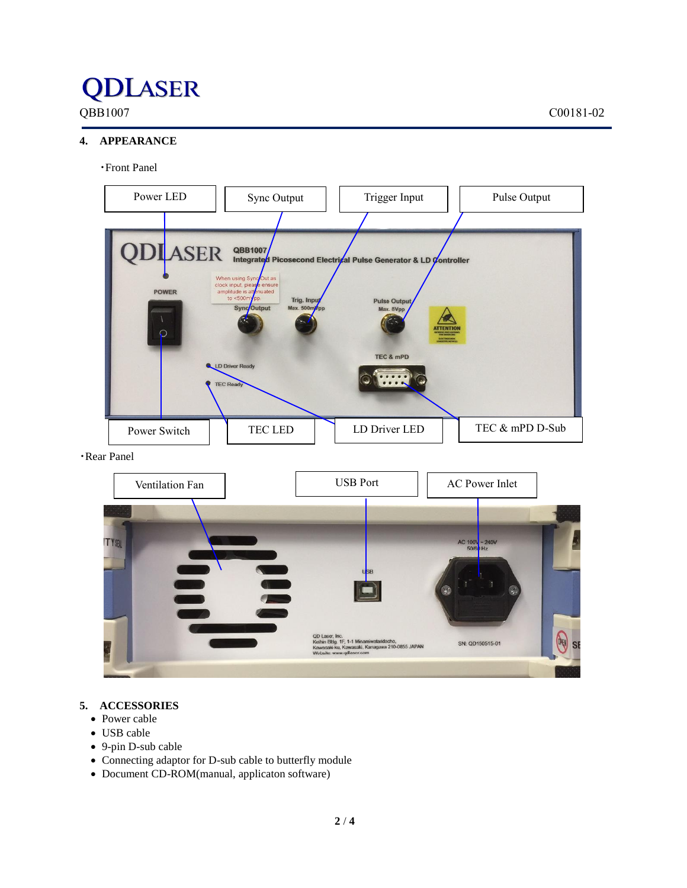## **QDLASER**

### **4. APPEARANCE**

#### ・Front Panel



・Rear Panel



#### **5. ACCESSORIES**

- Power cable
- USB cable
- 9-pin D-sub cable
- Connecting adaptor for D-sub cable to butterfly module
- Document CD-ROM(manual, applicaton software)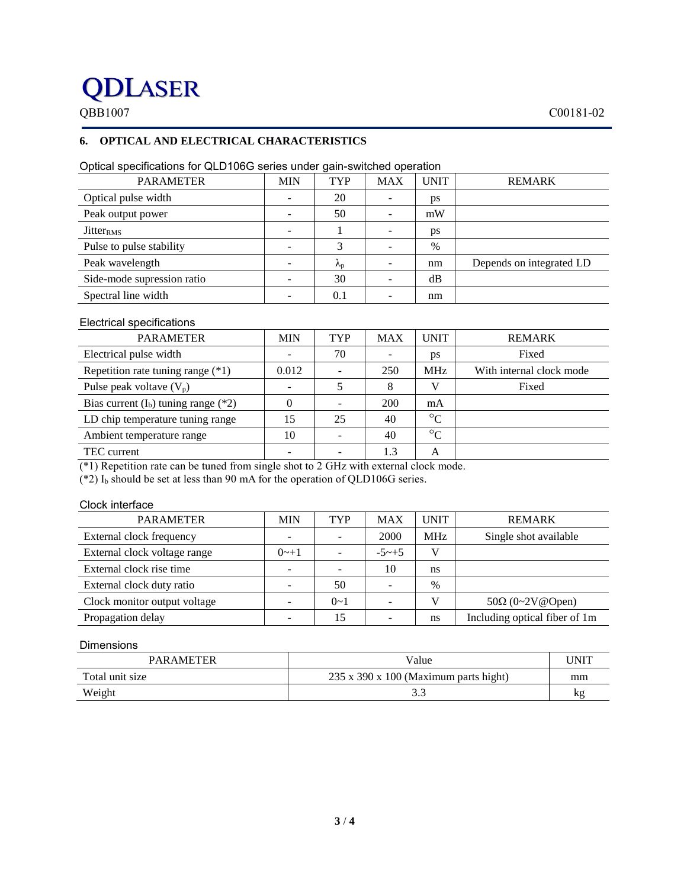### **QDLASER**

### **6. OPTICAL AND ELECTRICAL CHARACTERISTICS**

| <b>PARAMETER</b>             | <b>MIN</b> | <b>TYP</b>        | <b>MAX</b> | <b>UNIT</b> | <b>REMARK</b>            |
|------------------------------|------------|-------------------|------------|-------------|--------------------------|
| Optical pulse width          |            | 20                |            | ps          |                          |
| Peak output power            |            | 50                |            | mW          |                          |
| <b>Jitter</b> <sub>RMS</sub> |            |                   |            | ps          |                          |
| Pulse to pulse stability     |            | 3                 |            | $\%$        |                          |
| Peak wavelength              |            | $\Lambda_{\rm D}$ |            | nm          | Depends on integrated LD |
| Side-mode supression ratio   |            | 30                |            | dB          |                          |
| Spectral line width          |            | 0.1               |            | nm          |                          |
|                              |            |                   |            |             |                          |

#### Optical specifications for QLD106G series under gain-switched operation

#### Electrical specifications

| <b>MIN</b> | <b>TYP</b> | <b>MAX</b> | <b>UNIT</b>     | <b>REMARK</b>            |
|------------|------------|------------|-----------------|--------------------------|
|            | 70         |            | ps              | Fixed                    |
| 0.012      |            | 250        | MH <sub>z</sub> | With internal clock mode |
|            |            | 8          |                 | Fixed                    |
|            |            | 200        | mA              |                          |
| 15         | 25         | 40         | $\rm ^{\circ}C$ |                          |
| 10         |            | 40         | $\rm ^{\circ}C$ |                          |
|            |            | 1.3        | A               |                          |
|            |            |            |                 |                          |

(\*1) Repetition rate can be tuned from single shot to 2 GHz with external clock mode.

(\*2)  $I_b$  should be set at less than 90 mA for the operation of QLD106G series.

#### Clock interface

| <b>PARAMETER</b>             | MIN     | TYP     | MAX          | <b>UNIT</b> | <b>REMARK</b>                 |
|------------------------------|---------|---------|--------------|-------------|-------------------------------|
| External clock frequency     |         | -       | 2000         | <b>MHz</b>  | Single shot available         |
| External clock voltage range | $0 - 1$ |         | $-5 \sim +5$ | V           |                               |
| External clock rise time     |         |         | 10           | ns          |                               |
| External clock duty ratio    |         | 50      |              | $\%$        |                               |
| Clock monitor output voltage |         | $0 - 1$ |              |             | $50\Omega$ (0~2V@Open)        |
| Propagation delay            |         | 15      |              | ns          | Including optical fiber of 1m |

#### Dimensions

| <b>PARAMETER</b> | Value                                             | UNIT |
|------------------|---------------------------------------------------|------|
| Total unit size  | $235 \times 390 \times 100$ (Maximum parts hight) | mm   |
| Weight           | J.J                                               | kg   |